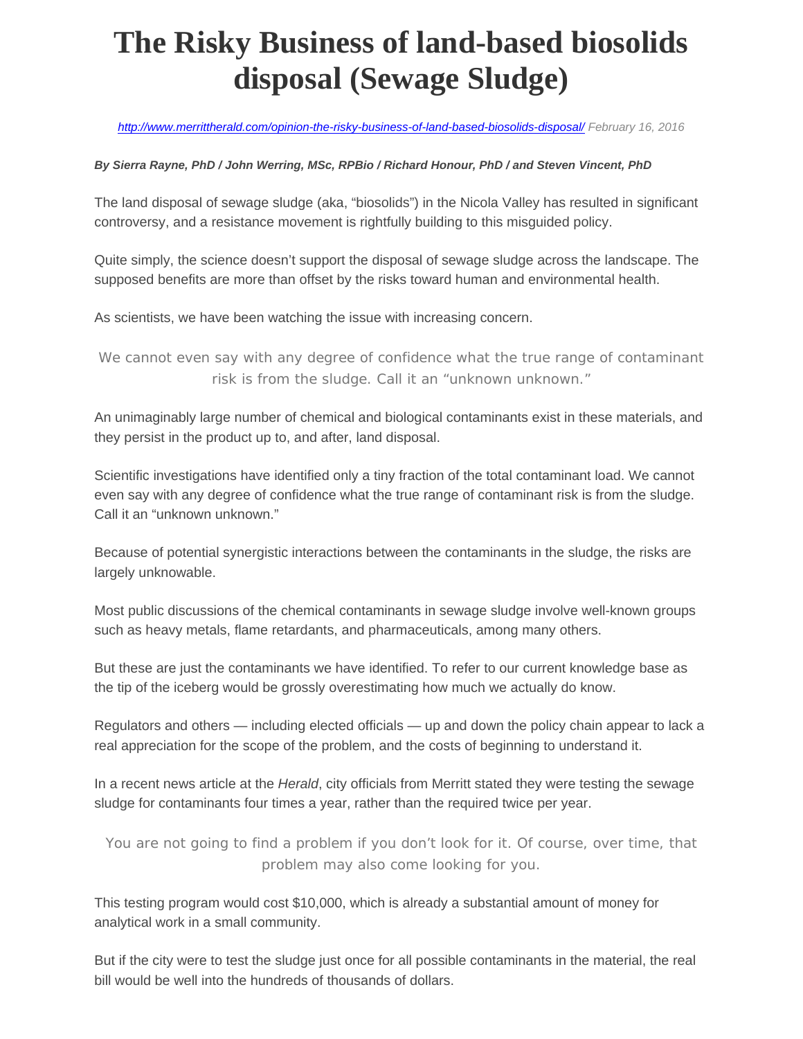## **The Risky Business of land-based biosolids disposal (Sewage Sludge)**

*http://www.merrittherald.com/opinion-the-risky-business-of-land-based-biosolids-disposal/ February 16, 2016*

## *By Sierra Rayne, PhD / John Werring, MSc, RPBio / Richard Honour, PhD / and Steven Vincent, PhD*

The land disposal of sewage sludge (aka, "biosolids") in the Nicola Valley has resulted in significant controversy, and a resistance movement is rightfully building to this misguided policy.

Quite simply, the science doesn't support the disposal of sewage sludge across the landscape. The supposed benefits are more than offset by the risks toward human and environmental health.

As scientists, we have been watching the issue with increasing concern.

*We cannot even say with any degree of confidence what the true range of contaminant risk is from the sludge. Call it an "unknown unknown."* 

An unimaginably large number of chemical and biological contaminants exist in these materials, and they persist in the product up to, and after, land disposal.

Scientific investigations have identified only a tiny fraction of the total contaminant load. We cannot even say with any degree of confidence what the true range of contaminant risk is from the sludge. Call it an "unknown unknown."

Because of potential synergistic interactions between the contaminants in the sludge, the risks are largely unknowable.

Most public discussions of the chemical contaminants in sewage sludge involve well-known groups such as heavy metals, flame retardants, and pharmaceuticals, among many others.

But these are just the contaminants we have identified. To refer to our current knowledge base as the tip of the iceberg would be grossly overestimating how much we actually do know.

Regulators and others — including elected officials — up and down the policy chain appear to lack a real appreciation for the scope of the problem, and the costs of beginning to understand it.

In a recent news article at the *Herald*, city officials from Merritt stated they were testing the sewage sludge for contaminants four times a year, rather than the required twice per year.

You are not going to find a problem if you don't look for it. Of course, over time, that *problem may also come looking for you.* 

This testing program would cost \$10,000, which is already a substantial amount of money for analytical work in a small community.

But if the city were to test the sludge just once for all possible contaminants in the material, the real bill would be well into the hundreds of thousands of dollars.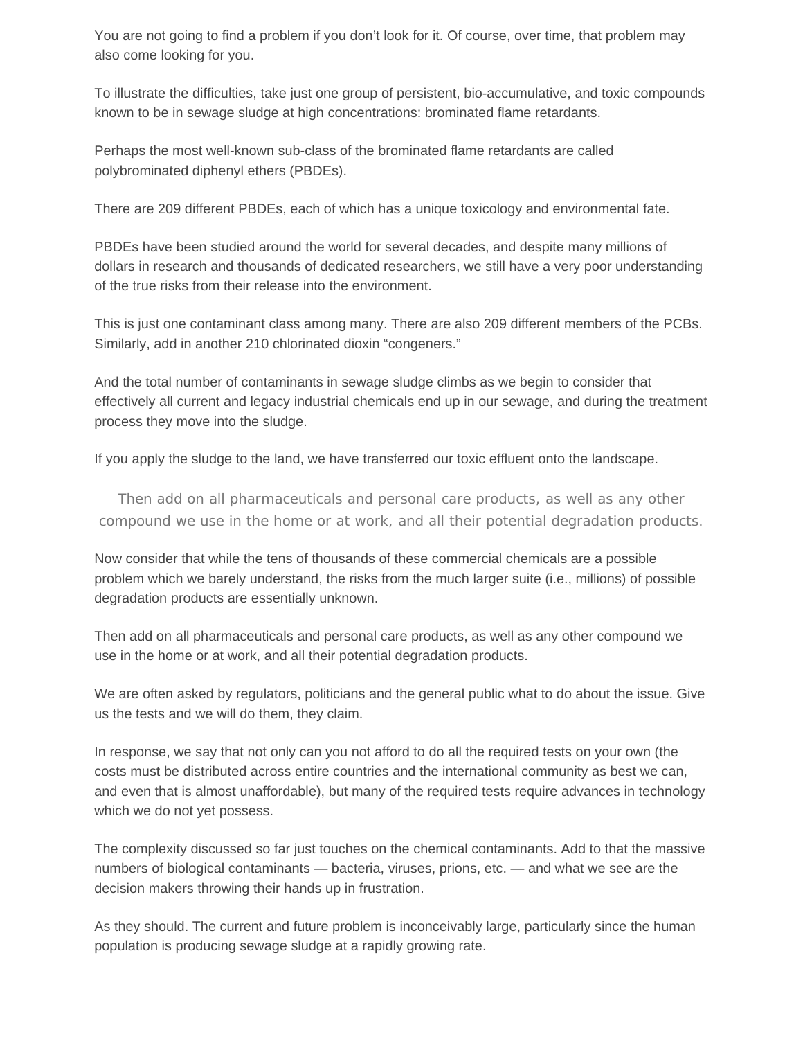You are not going to find a problem if you don't look for it. Of course, over time, that problem may also come looking for you.

To illustrate the difficulties, take just one group of persistent, bio-accumulative, and toxic compounds known to be in sewage sludge at high concentrations: brominated flame retardants.

Perhaps the most well-known sub-class of the brominated flame retardants are called polybrominated diphenyl ethers (PBDEs).

There are 209 different PBDEs, each of which has a unique toxicology and environmental fate.

PBDEs have been studied around the world for several decades, and despite many millions of dollars in research and thousands of dedicated researchers, we still have a very poor understanding of the true risks from their release into the environment.

This is just one contaminant class among many. There are also 209 different members of the PCBs. Similarly, add in another 210 chlorinated dioxin "congeners."

And the total number of contaminants in sewage sludge climbs as we begin to consider that effectively all current and legacy industrial chemicals end up in our sewage, and during the treatment process they move into the sludge.

If you apply the sludge to the land, we have transferred our toxic effluent onto the landscape.

*Then add on all pharmaceuticals and personal care products, as well as any other compound we use in the home or at work, and all their potential degradation products.* 

Now consider that while the tens of thousands of these commercial chemicals are a possible problem which we barely understand, the risks from the much larger suite (i.e., millions) of possible degradation products are essentially unknown.

Then add on all pharmaceuticals and personal care products, as well as any other compound we use in the home or at work, and all their potential degradation products.

We are often asked by regulators, politicians and the general public what to do about the issue. Give us the tests and we will do them, they claim.

In response, we say that not only can you not afford to do all the required tests on your own (the costs must be distributed across entire countries and the international community as best we can, and even that is almost unaffordable), but many of the required tests require advances in technology which we do not yet possess.

The complexity discussed so far just touches on the chemical contaminants. Add to that the massive numbers of biological contaminants — bacteria, viruses, prions, etc. — and what we see are the decision makers throwing their hands up in frustration.

As they should. The current and future problem is inconceivably large, particularly since the human population is producing sewage sludge at a rapidly growing rate.